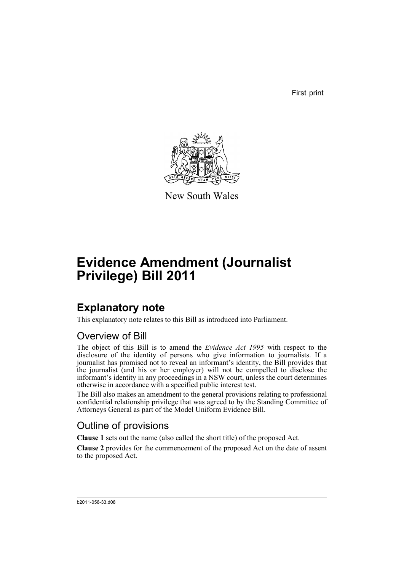First print



New South Wales

# **Evidence Amendment (Journalist Privilege) Bill 2011**

## **Explanatory note**

This explanatory note relates to this Bill as introduced into Parliament.

### Overview of Bill

The object of this Bill is to amend the *Evidence Act 1995* with respect to the disclosure of the identity of persons who give information to journalists. If a journalist has promised not to reveal an informant's identity, the Bill provides that the journalist (and his or her employer) will not be compelled to disclose the informant's identity in any proceedings in a NSW court, unless the court determines otherwise in accordance with a specified public interest test.

The Bill also makes an amendment to the general provisions relating to professional confidential relationship privilege that was agreed to by the Standing Committee of Attorneys General as part of the Model Uniform Evidence Bill.

### Outline of provisions

**Clause 1** sets out the name (also called the short title) of the proposed Act.

**Clause 2** provides for the commencement of the proposed Act on the date of assent to the proposed Act.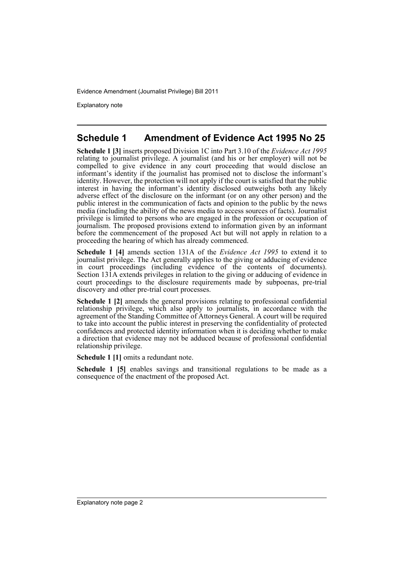Evidence Amendment (Journalist Privilege) Bill 2011

Explanatory note

#### **Schedule 1 Amendment of Evidence Act 1995 No 25**

**Schedule 1 [3]** inserts proposed Division 1C into Part 3.10 of the *Evidence Act 1995* relating to journalist privilege. A journalist (and his or her employer) will not be compelled to give evidence in any court proceeding that would disclose an informant's identity if the journalist has promised not to disclose the informant's identity. However, the protection will not apply if the court is satisfied that the public interest in having the informant's identity disclosed outweighs both any likely adverse effect of the disclosure on the informant (or on any other person) and the public interest in the communication of facts and opinion to the public by the news media (including the ability of the news media to access sources of facts). Journalist privilege is limited to persons who are engaged in the profession or occupation of journalism. The proposed provisions extend to information given by an informant before the commencement of the proposed Act but will not apply in relation to a proceeding the hearing of which has already commenced.

**Schedule 1 [4]** amends section 131A of the *Evidence Act 1995* to extend it to journalist privilege. The Act generally applies to the giving or adducing of evidence in court proceedings (including evidence of the contents of documents). Section 131A extends privileges in relation to the giving or adducing of evidence in court proceedings to the disclosure requirements made by subpoenas, pre-trial discovery and other pre-trial court processes.

**Schedule 1 [2]** amends the general provisions relating to professional confidential relationship privilege, which also apply to journalists, in accordance with the agreement of the Standing Committee of Attorneys General. A court will be required to take into account the public interest in preserving the confidentiality of protected confidences and protected identity information when it is deciding whether to make a direction that evidence may not be adduced because of professional confidential relationship privilege.

**Schedule 1 [1]** omits a redundant note.

**Schedule 1 [5]** enables savings and transitional regulations to be made as a consequence of the enactment of the proposed Act.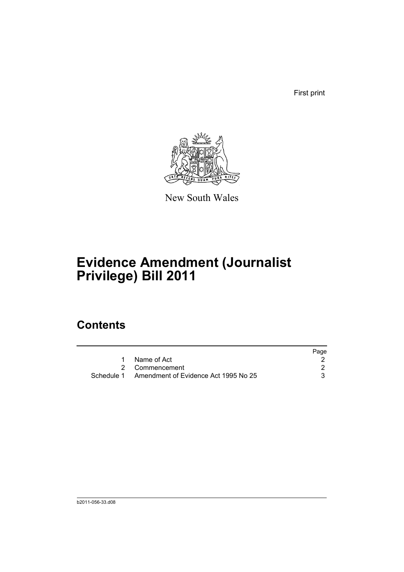First print



New South Wales

# **Evidence Amendment (Journalist Privilege) Bill 2011**

### **Contents**

|                                                 | Page |
|-------------------------------------------------|------|
| Name of Act                                     |      |
| 2 Commencement                                  |      |
| Schedule 1 Amendment of Evidence Act 1995 No 25 |      |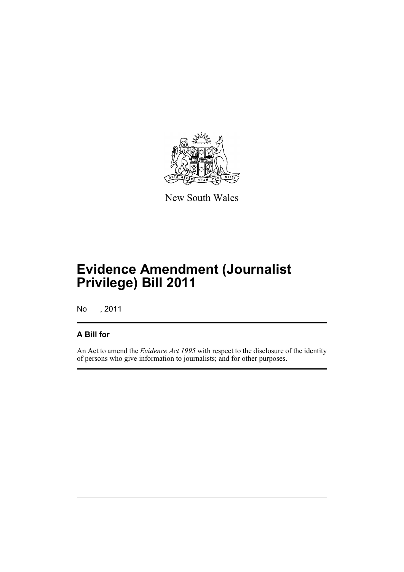

New South Wales

## **Evidence Amendment (Journalist Privilege) Bill 2011**

No , 2011

#### **A Bill for**

An Act to amend the *Evidence Act 1995* with respect to the disclosure of the identity of persons who give information to journalists; and for other purposes.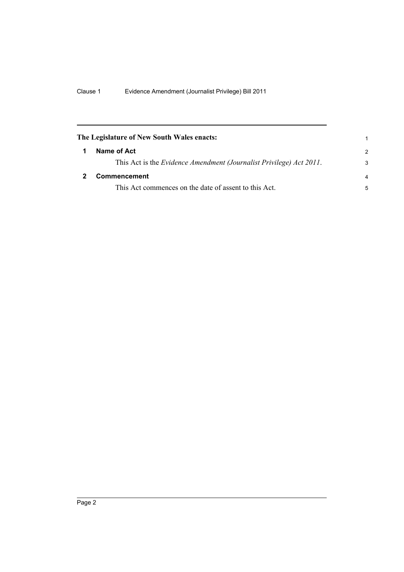<span id="page-5-1"></span><span id="page-5-0"></span>

| The Legislature of New South Wales enacts:                          |                |
|---------------------------------------------------------------------|----------------|
| Name of Act                                                         | $\mathcal{P}$  |
| This Act is the Evidence Amendment (Journalist Privilege) Act 2011. | 3              |
| <b>Commencement</b>                                                 | $\overline{a}$ |
| This Act commences on the date of assent to this Act.               | 5              |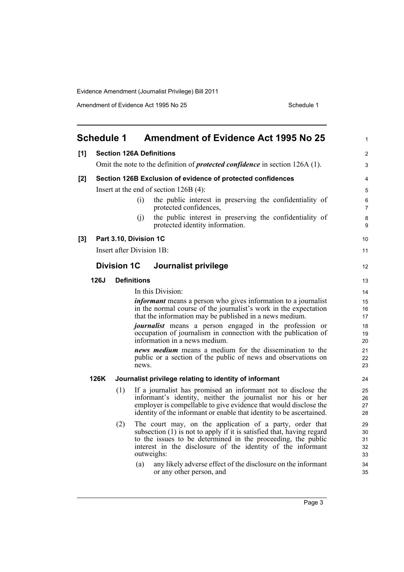Evidence Amendment (Journalist Privilege) Bill 2011

Amendment of Evidence Act 1995 No 25 Schedule 1

<span id="page-6-0"></span>

|       | <b>Schedule 1</b> |                    |                        | <b>Amendment of Evidence Act 1995 No 25</b>                                                                                                                      | $\mathbf{1}$        |
|-------|-------------------|--------------------|------------------------|------------------------------------------------------------------------------------------------------------------------------------------------------------------|---------------------|
| [1]   |                   |                    |                        | <b>Section 126A Definitions</b>                                                                                                                                  | $\overline{2}$      |
|       |                   |                    |                        | Omit the note to the definition of <i>protected confidence</i> in section 126A (1).                                                                              | 3                   |
| [2]   |                   |                    |                        | Section 126B Exclusion of evidence of protected confidences                                                                                                      | 4                   |
|       |                   |                    |                        | Insert at the end of section $126B(4)$ :                                                                                                                         | 5                   |
|       |                   |                    | (i)                    | the public interest in preserving the confidentiality of<br>protected confidences,                                                                               | 6<br>$\overline{7}$ |
|       |                   |                    | (i)                    | the public interest in preserving the confidentiality of<br>protected identity information.                                                                      | 8<br>9              |
| $[3]$ |                   |                    | Part 3.10, Division 1C |                                                                                                                                                                  | 10                  |
|       |                   |                    |                        | Insert after Division 1B:                                                                                                                                        | 11                  |
|       |                   | <b>Division 1C</b> |                        | Journalist privilege                                                                                                                                             | 12                  |
|       | 126J              |                    | <b>Definitions</b>     |                                                                                                                                                                  | 13                  |
|       |                   |                    |                        | In this Division:                                                                                                                                                | 14                  |
|       |                   |                    |                        | <i>informant</i> means a person who gives information to a journalist                                                                                            | 15                  |
|       |                   |                    |                        | in the normal course of the journalist's work in the expectation<br>that the information may be published in a news medium.                                      | 16<br>17            |
|       |                   |                    |                        | <i>journalist</i> means a person engaged in the profession or<br>occupation of journalism in connection with the publication of<br>information in a news medium. | 18<br>19<br>20      |
|       |                   |                    |                        | news medium means a medium for the dissemination to the                                                                                                          | 21                  |
|       |                   |                    | news.                  | public or a section of the public of news and observations on                                                                                                    | 22<br>23            |
|       | 126K              |                    |                        | Journalist privilege relating to identity of informant                                                                                                           | 24                  |
|       |                   | (1)                |                        | If a journalist has promised an informant not to disclose the                                                                                                    | 25                  |
|       |                   |                    |                        | informant's identity, neither the journalist nor his or her                                                                                                      | 26                  |
|       |                   |                    |                        | employer is compellable to give evidence that would disclose the<br>identity of the informant or enable that identity to be ascertained.                         | 27<br>28            |
|       |                   | (2)                |                        | The court may, on the application of a party, order that                                                                                                         | 29                  |
|       |                   |                    |                        | subsection (1) is not to apply if it is satisfied that, having regard                                                                                            | 30                  |
|       |                   |                    |                        | to the issues to be determined in the proceeding, the public                                                                                                     | 31                  |
|       |                   |                    |                        | interest in the disclosure of the identity of the informant<br>outweighs:                                                                                        | 32<br>33            |
|       |                   |                    | (a)                    | any likely adverse effect of the disclosure on the informant<br>or any other person, and                                                                         | 34<br>35            |